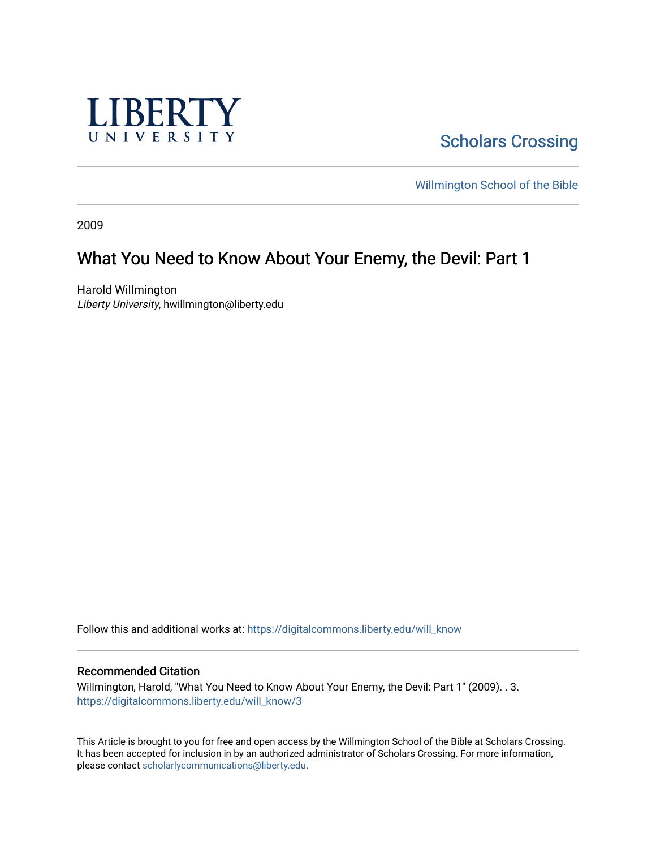

**Scholars Crossing** 

[Willmington School of the Bible](https://digitalcommons.liberty.edu/will_bible) 

2009

# What You Need to Know About Your Enemy, the Devil: Part 1

Harold Willmington Liberty University, hwillmington@liberty.edu

Follow this and additional works at: [https://digitalcommons.liberty.edu/will\\_know](https://digitalcommons.liberty.edu/will_know?utm_source=digitalcommons.liberty.edu%2Fwill_know%2F3&utm_medium=PDF&utm_campaign=PDFCoverPages)

#### Recommended Citation

Willmington, Harold, "What You Need to Know About Your Enemy, the Devil: Part 1" (2009). . 3. [https://digitalcommons.liberty.edu/will\\_know/3](https://digitalcommons.liberty.edu/will_know/3?utm_source=digitalcommons.liberty.edu%2Fwill_know%2F3&utm_medium=PDF&utm_campaign=PDFCoverPages) 

This Article is brought to you for free and open access by the Willmington School of the Bible at Scholars Crossing. It has been accepted for inclusion in by an authorized administrator of Scholars Crossing. For more information, please contact [scholarlycommunications@liberty.edu.](mailto:scholarlycommunications@liberty.edu)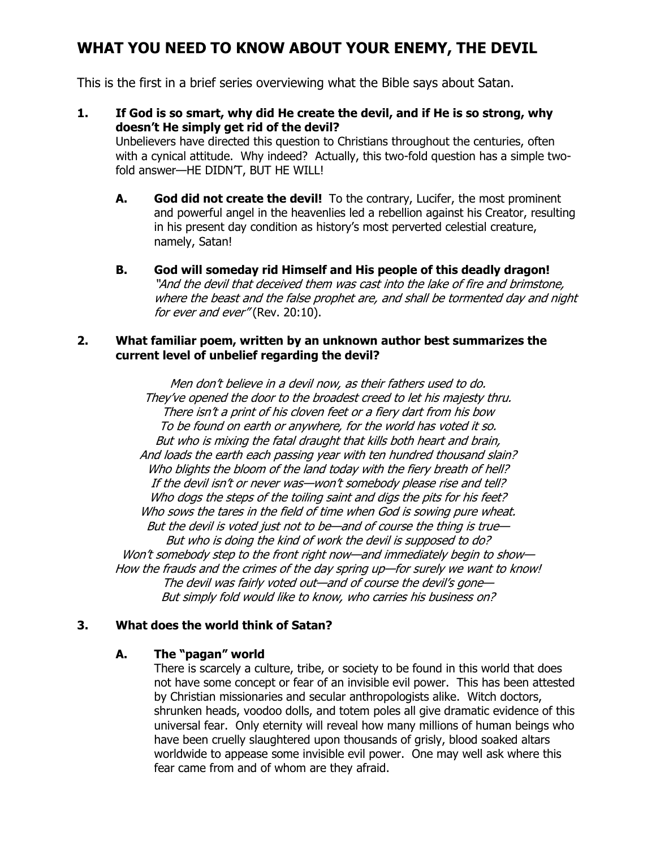## WHAT YOU NEED TO KNOW ABOUT YOUR ENEMY, THE DEVIL

This is the first in a brief series overviewing what the Bible says about Satan.

1. If God is so smart, why did He create the devil, and if He is so strong, why doesn't He simply get rid of the devil?

Unbelievers have directed this question to Christians throughout the centuries, often with a cynical attitude. Why indeed? Actually, this two-fold question has a simple twofold answer—HE DIDN'T, BUT HE WILL!

- A. God did not create the devil! To the contrary, Lucifer, the most prominent and powerful angel in the heavenlies led a rebellion against his Creator, resulting in his present day condition as history's most perverted celestial creature, namely, Satan!
- B. God will someday rid Himself and His people of this deadly dragon! "And the devil that deceived them was cast into the lake of fire and brimstone, where the beast and the false prophet are, and shall be tormented day and night for ever and ever" (Rev. 20:10).

#### 2. What familiar poem, written by an unknown author best summarizes the current level of unbelief regarding the devil?

Men don't believe in a devil now, as their fathers used to do. They've opened the door to the broadest creed to let his majesty thru. There isn't a print of his cloven feet or a fiery dart from his bow To be found on earth or anywhere, for the world has voted it so. But who is mixing the fatal draught that kills both heart and brain, And loads the earth each passing year with ten hundred thousand slain? Who blights the bloom of the land today with the fiery breath of hell? If the devil isn't or never was—won't somebody please rise and tell? Who dogs the steps of the toiling saint and digs the pits for his feet? Who sows the tares in the field of time when God is sowing pure wheat. But the devil is voted just not to be—and of course the thing is true— But who is doing the kind of work the devil is supposed to do? Won't somebody step to the front right now—and immediately begin to show— How the frauds and the crimes of the day spring up—for surely we want to know! The devil was fairly voted out—and of course the devil's gone— But simply fold would like to know, who carries his business on?

#### 3. What does the world think of Satan?

#### A. The "pagan" world

There is scarcely a culture, tribe, or society to be found in this world that does not have some concept or fear of an invisible evil power. This has been attested by Christian missionaries and secular anthropologists alike. Witch doctors, shrunken heads, voodoo dolls, and totem poles all give dramatic evidence of this universal fear. Only eternity will reveal how many millions of human beings who have been cruelly slaughtered upon thousands of grisly, blood soaked altars worldwide to appease some invisible evil power. One may well ask where this fear came from and of whom are they afraid.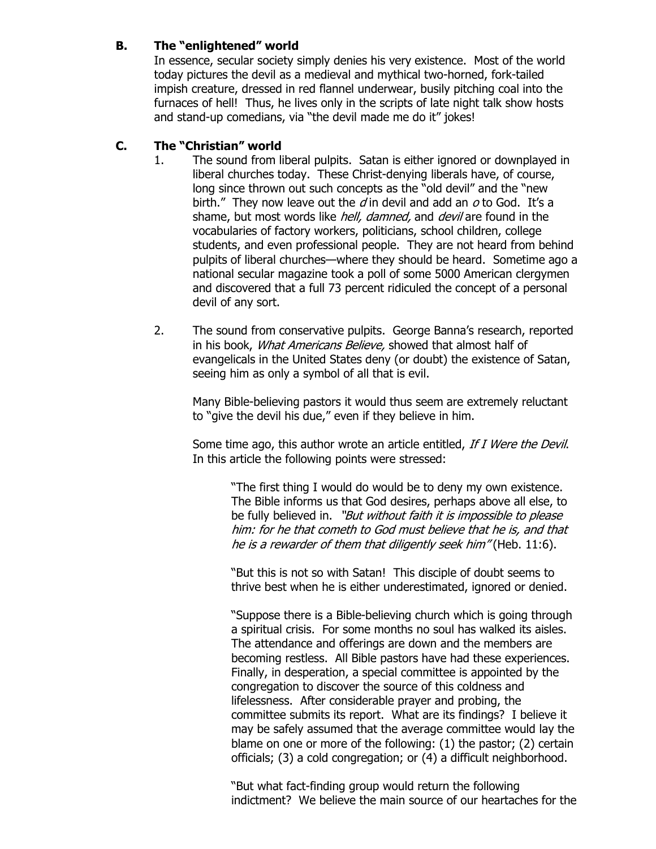### B. The "enlightened" world

In essence, secular society simply denies his very existence. Most of the world today pictures the devil as a medieval and mythical two-horned, fork-tailed impish creature, dressed in red flannel underwear, busily pitching coal into the furnaces of hell! Thus, he lives only in the scripts of late night talk show hosts and stand-up comedians, via "the devil made me do it" jokes!

### C. The "Christian" world

- 1. The sound from liberal pulpits. Satan is either ignored or downplayed in liberal churches today. These Christ-denying liberals have, of course, long since thrown out such concepts as the "old devil" and the "new birth." They now leave out the  $d$  in devil and add an  $o$  to God. It's a shame, but most words like *hell, damned*, and *devil* are found in the vocabularies of factory workers, politicians, school children, college students, and even professional people. They are not heard from behind pulpits of liberal churches—where they should be heard. Sometime ago a national secular magazine took a poll of some 5000 American clergymen and discovered that a full 73 percent ridiculed the concept of a personal devil of any sort.
- 2. The sound from conservative pulpits. George Banna's research, reported in his book, *What Americans Believe*, showed that almost half of evangelicals in the United States deny (or doubt) the existence of Satan, seeing him as only a symbol of all that is evil.

 Many Bible-believing pastors it would thus seem are extremely reluctant to "give the devil his due," even if they believe in him.

Some time ago, this author wrote an article entitled, If I Were the Devil. In this article the following points were stressed:

> "The first thing I would do would be to deny my own existence. The Bible informs us that God desires, perhaps above all else, to be fully believed in. "But without faith it is impossible to please him: for he that cometh to God must believe that he is, and that he is a rewarder of them that diligently seek him" (Heb. 11:6).

> "But this is not so with Satan! This disciple of doubt seems to thrive best when he is either underestimated, ignored or denied.

 "Suppose there is a Bible-believing church which is going through a spiritual crisis. For some months no soul has walked its aisles. The attendance and offerings are down and the members are becoming restless. All Bible pastors have had these experiences. Finally, in desperation, a special committee is appointed by the congregation to discover the source of this coldness and lifelessness. After considerable prayer and probing, the committee submits its report. What are its findings? I believe it may be safely assumed that the average committee would lay the blame on one or more of the following: (1) the pastor; (2) certain officials; (3) a cold congregation; or (4) a difficult neighborhood.

 "But what fact-finding group would return the following indictment? We believe the main source of our heartaches for the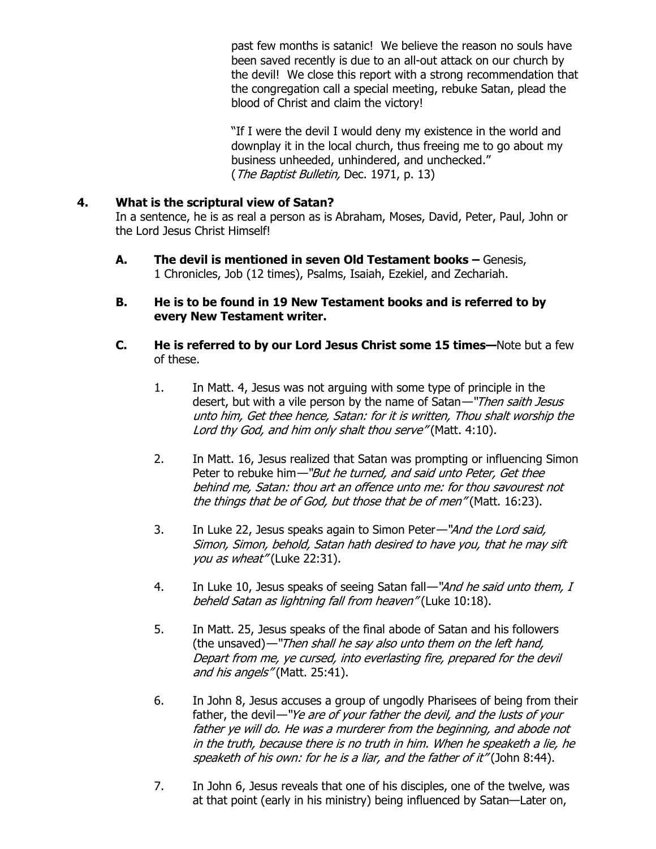past few months is satanic! We believe the reason no souls have been saved recently is due to an all-out attack on our church by the devil! We close this report with a strong recommendation that the congregation call a special meeting, rebuke Satan, plead the blood of Christ and claim the victory!

 "If I were the devil I would deny my existence in the world and downplay it in the local church, thus freeing me to go about my business unheeded, unhindered, and unchecked." (The Baptist Bulletin, Dec. 1971, p. 13)

#### 4. What is the scriptural view of Satan?

In a sentence, he is as real a person as is Abraham, Moses, David, Peter, Paul, John or the Lord Jesus Christ Himself!

- A. The devil is mentioned in seven Old Testament books Genesis, 1 Chronicles, Job (12 times), Psalms, Isaiah, Ezekiel, and Zechariah.
- B. He is to be found in 19 New Testament books and is referred to by every New Testament writer.
- C. He is referred to by our Lord Jesus Christ some 15 times—Note but a few of these.
	- 1. In Matt. 4, Jesus was not arguing with some type of principle in the desert, but with a vile person by the name of Satan-"Then saith Jesus unto him, Get thee hence, Satan: for it is written, Thou shalt worship the Lord thy God, and him only shalt thou serve" (Matt. 4:10).
	- 2. In Matt. 16, Jesus realized that Satan was prompting or influencing Simon Peter to rebuke him—"But he turned, and said unto Peter, Get thee behind me, Satan: thou art an offence unto me: for thou savourest not the things that be of God, but those that be of men" (Matt. 16:23).
	- 3. In Luke 22, Jesus speaks again to Simon Peter—"And the Lord said, Simon, Simon, behold, Satan hath desired to have you, that he may sift you as wheat" (Luke 22:31).
	- 4. In Luke 10, Jesus speaks of seeing Satan fall—"And he said unto them, I beheld Satan as lightning fall from heaven" (Luke 10:18).
	- 5. In Matt. 25, Jesus speaks of the final abode of Satan and his followers (the unsaved)—"Then shall he say also unto them on the left hand, Depart from me, ye cursed, into everlasting fire, prepared for the devil and his angels" (Matt. 25:41).
	- 6. In John 8, Jesus accuses a group of ungodly Pharisees of being from their father, the devil—"Ye are of your father the devil, and the lusts of your father ye will do. He was a murderer from the beginning, and abode not in the truth, because there is no truth in him. When he speaketh a lie, he speaketh of his own: for he is a liar, and the father of it" (John 8:44).
	- 7. In John 6, Jesus reveals that one of his disciples, one of the twelve, was at that point (early in his ministry) being influenced by Satan—Later on,